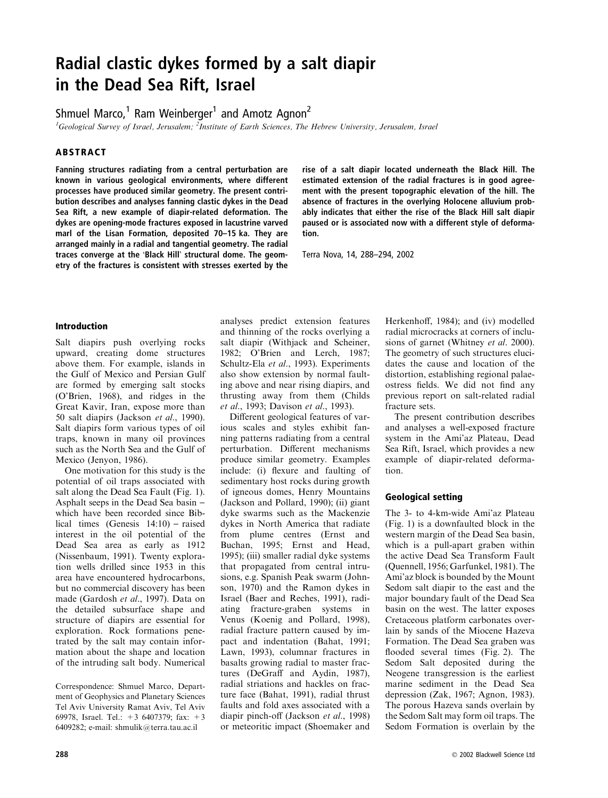# Radial clastic dykes formed by a salt diapir in the Dead Sea Rift, Israel

Shmuel Marco, $1$  Ram Weinberger<sup>1</sup> and Amotz Agnon<sup>2</sup>

<sup>1</sup>Geological Survey of Israel, Jerusalem; <sup>2</sup>Institute of Earth Sciences, The Hebrew University, Jerusalem, Israel

# ABSTRACT

Fanning structures radiating from a central perturbation are known in various geological environments, where different processes have produced similar geometry. The present contribution describes and analyses fanning clastic dykes in the Dead Sea Rift, a new example of diapir-related deformation. The dykes are opening-mode fractures exposed in lacustrine varved marl of the Lisan Formation, deposited 70–15 ka. They are arranged mainly in a radial and tangential geometry. The radial traces converge at the 'Black Hill' structural dome. The geometry of the fractures is consistent with stresses exerted by the rise of a salt diapir located underneath the Black Hill. The estimated extension of the radial fractures is in good agreement with the present topographic elevation of the hill. The absence of fractures in the overlying Holocene alluvium probably indicates that either the rise of the Black Hill salt diapir paused or is associated now with a different style of deformation.

Terra Nova, 14, 288–294, 2002

### Introduction

Salt diapirs push overlying rocks upward, creating dome structures above them. For example, islands in the Gulf of Mexico and Persian Gulf are formed by emerging salt stocks (O'Brien, 1968), and ridges in the Great Kavir, Iran, expose more than 50 salt diapirs (Jackson et al., 1990). Salt diapirs form various types of oil traps, known in many oil provinces such as the North Sea and the Gulf of Mexico (Jenyon, 1986).

One motivation for this study is the potential of oil traps associated with salt along the Dead Sea Fault (Fig. 1). Asphalt seeps in the Dead Sea basin – which have been recorded since Biblical times (Genesis  $14:10$ ) – raised interest in the oil potential of the Dead Sea area as early as 1912 (Nissenbaum, 1991). Twenty exploration wells drilled since 1953 in this area have encountered hydrocarbons, but no commercial discovery has been made (Gardosh et al., 1997). Data on the detailed subsurface shape and structure of diapirs are essential for exploration. Rock formations penetrated by the salt may contain information about the shape and location of the intruding salt body. Numerical

Correspondence: Shmuel Marco, Department of Geophysics and Planetary Sciences Tel Aviv University Ramat Aviv, Tel Aviv 69978, Israel. Tel.: +3 6407379; fax: +3 6409282; e-mail: shmulik@terra.tau.ac.il

analyses predict extension features and thinning of the rocks overlying a salt diapir (Withjack and Scheiner, 1982; O'Brien and Lerch, 1987; Schultz-Ela et al., 1993). Experiments also show extension by normal faulting above and near rising diapirs, and thrusting away from them (Childs et al., 1993; Davison et al., 1993).

Different geological features of various scales and styles exhibit fanning patterns radiating from a central perturbation. Different mechanisms produce similar geometry. Examples include: (i) flexure and faulting of sedimentary host rocks during growth of igneous domes, Henry Mountains (Jackson and Pollard, 1990); (ii) giant dyke swarms such as the Mackenzie dykes in North America that radiate from plume centres (Ernst and Buchan, 1995; Ernst and Head, 1995); (iii) smaller radial dyke systems that propagated from central intrusions, e.g. Spanish Peak swarm (Johnson, 1970) and the Ramon dykes in Israel (Baer and Reches, 1991), radiating fracture-graben systems in Venus (Koenig and Pollard, 1998), radial fracture pattern caused by impact and indentation (Bahat, 1991; Lawn, 1993), columnar fractures in basalts growing radial to master fractures (DeGraff and Aydin, 1987), radial striations and hackles on fracture face (Bahat, 1991), radial thrust faults and fold axes associated with a diapir pinch-off (Jackson et al., 1998) or meteoritic impact (Shoemaker and Herkenhoff, 1984); and (iv) modelled radial microcracks at corners of inclusions of garnet (Whitney et al. 2000). The geometry of such structures elucidates the cause and location of the distortion, establishing regional palaeostress fields. We did not find any previous report on salt-related radial fracture sets.

The present contribution describes and analyses a well-exposed fracture system in the Ami'az Plateau, Dead Sea Rift, Israel, which provides a new example of diapir-related deformation.

#### Geological setting

The 3- to 4-km-wide Ami'az Plateau (Fig. 1) is a downfaulted block in the western margin of the Dead Sea basin, which is a pull-apart graben within the active Dead Sea Transform Fault (Quennell, 1956; Garfunkel, 1981). The Ami'az block is bounded by the Mount Sedom salt diapir to the east and the major boundary fault of the Dead Sea basin on the west. The latter exposes Cretaceous platform carbonates overlain by sands of the Miocene Hazeva Formation. The Dead Sea graben was flooded several times (Fig. 2). The Sedom Salt deposited during the Neogene transgression is the earliest marine sediment in the Dead Sea depression (Zak, 1967; Agnon, 1983). The porous Hazeva sands overlain by the Sedom Salt may form oil traps. The Sedom Formation is overlain by the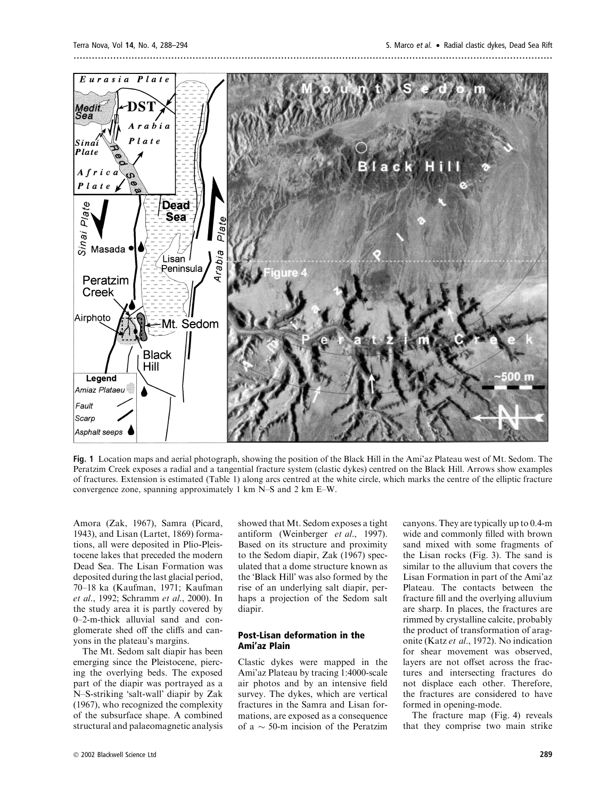

Fig. 1 Location maps and aerial photograph, showing the position of the Black Hill in the Ami'az Plateau west of Mt. Sedom. The Peratzim Creek exposes a radial and a tangential fracture system (clastic dykes) centred on the Black Hill. Arrows show examples of fractures. Extension is estimated (Table 1) along arcs centred at the white circle, which marks the centre of the elliptic fracture convergence zone, spanning approximately 1 km N–S and 2 km E–W.

Amora (Zak, 1967), Samra (Picard, 1943), and Lisan (Lartet, 1869) formations, all were deposited in Plio-Pleistocene lakes that preceded the modern Dead Sea. The Lisan Formation was deposited during the last glacial period, 70–18 ka (Kaufman, 1971; Kaufman et al., 1992; Schramm et al., 2000). In the study area it is partly covered by 0–2-m-thick alluvial sand and conglomerate shed off the cliffs and canyons in the plateau's margins.

The Mt. Sedom salt diapir has been emerging since the Pleistocene, piercing the overlying beds. The exposed part of the diapir was portrayed as a N–S-striking 'salt-wall' diapir by Zak (1967), who recognized the complexity of the subsurface shape. A combined structural and palaeomagnetic analysis

showed that Mt. Sedom exposes a tight antiform (Weinberger et al., 1997). Based on its structure and proximity to the Sedom diapir, Zak (1967) speculated that a dome structure known as the 'Black Hill' was also formed by the rise of an underlying salt diapir, perhaps a projection of the Sedom salt diapir.

### Post-Lisan deformation in the Ami'az Plain

Clastic dykes were mapped in the Ami'az Plateau by tracing 1:4000-scale air photos and by an intensive field survey. The dykes, which are vertical fractures in the Samra and Lisan formations, are exposed as a consequence of a  $\sim$  50-m incision of the Peratzim canyons. They are typically up to 0.4-m wide and commonly filled with brown sand mixed with some fragments of the Lisan rocks (Fig. 3). The sand is similar to the alluvium that covers the Lisan Formation in part of the Ami'az Plateau. The contacts between the fracture fill and the overlying alluvium are sharp. In places, the fractures are rimmed by crystalline calcite, probably the product of transformation of aragonite (Katz et al., 1972). No indication for shear movement was observed, layers are not offset across the fractures and intersecting fractures do not displace each other. Therefore, the fractures are considered to have formed in opening-mode.

The fracture map (Fig. 4) reveals that they comprise two main strike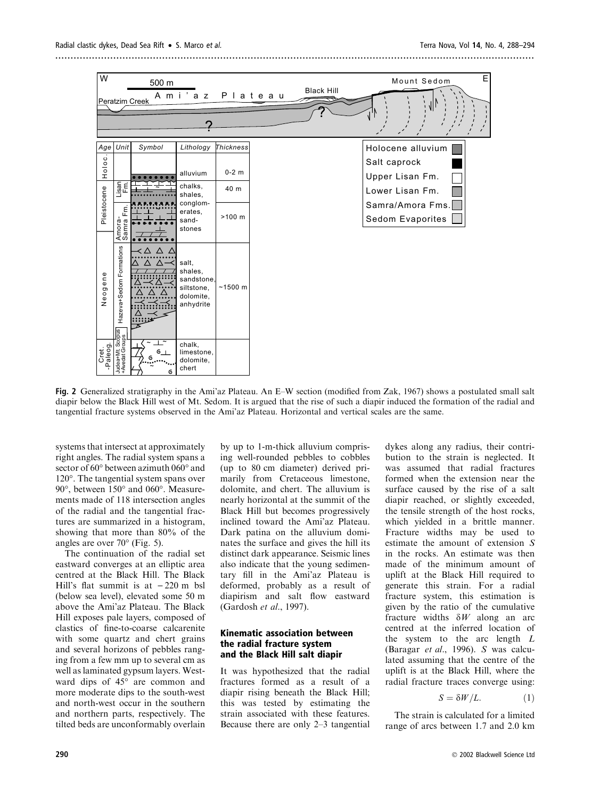

Fig. 2 Generalized stratigraphy in the Ami'az Plateau. An E–W section (modified from Zak, 1967) shows a postulated small salt diapir below the Black Hill west of Mt. Sedom. It is argued that the rise of such a diapir induced the formation of the radial and tangential fracture systems observed in the Ami'az Plateau. Horizontal and vertical scales are the same.

systems that intersect at approximately right angles. The radial system spans a sector of 60° between azimuth 060° and  $120^\circ$ . The tangential system spans over  $90^\circ$ , between  $150^\circ$  and  $060^\circ$ . Measurements made of 118 intersection angles of the radial and the tangential fractures are summarized in a histogram, showing that more than 80% of the angles are over  $70^{\circ}$  (Fig. 5).

The continuation of the radial set eastward converges at an elliptic area centred at the Black Hill. The Black Hill's flat summit is at  $-220$  m bsl (below sea level), elevated some 50 m above the Ami'az Plateau. The Black Hill exposes pale layers, composed of clastics of fine-to-coarse calcarenite with some quartz and chert grains and several horizons of pebbles ranging from a few mm up to several cm as well as laminated gypsum layers. Westward dips of 45° are common and more moderate dips to the south-west and north-west occur in the southern and northern parts, respectively. The tilted beds are unconformably overlain

by up to 1-m-thick alluvium comprising well-rounded pebbles to cobbles (up to 80 cm diameter) derived primarily from Cretaceous limestone, dolomite, and chert. The alluvium is nearly horizontal at the summit of the Black Hill but becomes progressively inclined toward the Ami'az Plateau. Dark patina on the alluvium dominates the surface and gives the hill its distinct dark appearance. Seismic lines also indicate that the young sedimentary fill in the Ami'az Plateau is deformed, probably as a result of diapirism and salt flow eastward (Gardosh et al., 1997).

# Kinematic association between the radial fracture system and the Black Hill salt diapir

It was hypothesized that the radial fractures formed as a result of a diapir rising beneath the Black Hill; this was tested by estimating the strain associated with these features. Because there are only 2–3 tangential dykes along any radius, their contribution to the strain is neglected. It was assumed that radial fractures formed when the extension near the surface caused by the rise of a salt diapir reached, or slightly exceeded, the tensile strength of the host rocks, which yielded in a brittle manner. Fracture widths may be used to estimate the amount of extension S in the rocks. An estimate was then made of the minimum amount of uplift at the Black Hill required to generate this strain. For a radial fracture system, this estimation is given by the ratio of the cumulative fracture widths  $\delta W$  along an arc centred at the inferred location of the system to the arc length  $L$ (Baragar et al., 1996). S was calculated assuming that the centre of the uplift is at the Black Hill, where the radial fracture traces converge using:

$$
S = \delta W / L. \tag{1}
$$

The strain is calculated for a limited range of arcs between 1.7 and 2.0 km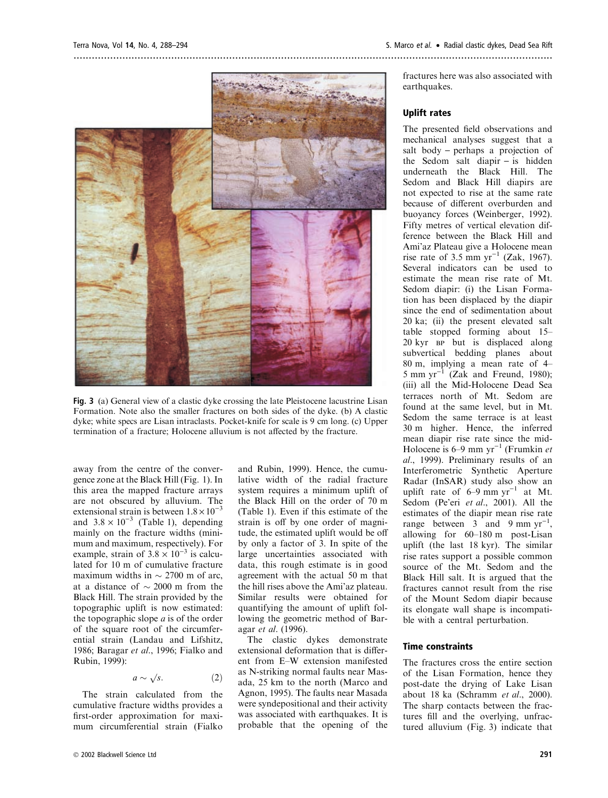

Fig. 3 (a) General view of a clastic dyke crossing the late Pleistocene lacustrine Lisan Formation. Note also the smaller fractures on both sides of the dyke. (b) A clastic dyke; white specs are Lisan intraclasts. Pocket-knife for scale is 9 cm long. (c) Upper termination of a fracture; Holocene alluvium is not affected by the fracture.

away from the centre of the convergence zone at the Black Hill (Fig. 1). In this area the mapped fracture arrays are not obscured by alluvium. The extensional strain is between  $1.8 \times 10^{-3}$ and  $3.8 \times 10^{-3}$  (Table 1), depending mainly on the fracture widths (minimum and maximum, respectively). For example, strain of  $3.8 \times 10^{-3}$  is calculated for 10 m of cumulative fracture maximum widths in  $\sim$  2700 m of arc. at a distance of  $\sim$  2000 m from the Black Hill. The strain provided by the topographic uplift is now estimated: the topographic slope  $a$  is of the order of the square root of the circumferential strain (Landau and Lifshitz, 1986; Baragar et al., 1996; Fialko and Rubin, 1999):

$$
a \sim \sqrt{s}.\tag{2}
$$

The strain calculated from the cumulative fracture widths provides a first-order approximation for maximum circumferential strain (Fialko and Rubin, 1999). Hence, the cumulative width of the radial fracture system requires a minimum uplift of the Black Hill on the order of 70 m (Table 1). Even if this estimate of the strain is off by one order of magnitude, the estimated uplift would be off by only a factor of 3. In spite of the large uncertainties associated with data, this rough estimate is in good agreement with the actual 50 m that the hill rises above the Ami'az plateau. Similar results were obtained for quantifying the amount of uplift following the geometric method of Baragar et al. (1996).

The clastic dykes demonstrate extensional deformation that is different from E–W extension manifested as N-striking normal faults near Masada, 25 km to the north (Marco and Agnon, 1995). The faults near Masada were syndepositional and their activity was associated with earthquakes. It is probable that the opening of the

fractures here was also associated with earthquakes.

# Uplift rates

The presented field observations and mechanical analyses suggest that a salt body  $-$  perhaps a projection of the Sedom salt diapir  $-$  is hidden underneath the Black Hill. The Sedom and Black Hill diapirs are not expected to rise at the same rate because of different overburden and buoyancy forces (Weinberger, 1992). Fifty metres of vertical elevation difference between the Black Hill and Ami'az Plateau give a Holocene mean rise rate of 3.5 mm  $yr^{-1}$  (Zak, 1967). Several indicators can be used to estimate the mean rise rate of Mt. Sedom diapir: (i) the Lisan Formation has been displaced by the diapir since the end of sedimentation about 20 ka; (ii) the present elevated salt table stopped forming about 15– 20 kyr BP but is displaced along subvertical bedding planes about 80 m, implying a mean rate of 4– 5 mm yr<sup>-1</sup> (Zak and Freund, 1980); (iii) all the Mid-Holocene Dead Sea terraces north of Mt. Sedom are found at the same level, but in Mt. Sedom the same terrace is at least 30 m higher. Hence, the inferred mean diapir rise rate since the mid-Holocene is 6–9 mm  $yr^{-1}$  (Frumkin et al., 1999). Preliminary results of an Interferometric Synthetic Aperture Radar (InSAR) study also show an uplift rate of  $6-9$  mm yr<sup>-1</sup> at Mt. Sedom (Pe'eri et al., 2001). All the estimates of the diapir mean rise rate range between  $3 \text{ and } 9 \text{ mm yr}^{-1}$ , allowing for 60–180 m post-Lisan uplift (the last 18 kyr). The similar rise rates support a possible common source of the Mt. Sedom and the Black Hill salt. It is argued that the fractures cannot result from the rise of the Mount Sedom diapir because its elongate wall shape is incompatible with a central perturbation.

#### Time constraints

The fractures cross the entire section of the Lisan Formation, hence they post-date the drying of Lake Lisan about 18 ka (Schramm et al., 2000). The sharp contacts between the fractures fill and the overlying, unfractured alluvium (Fig. 3) indicate that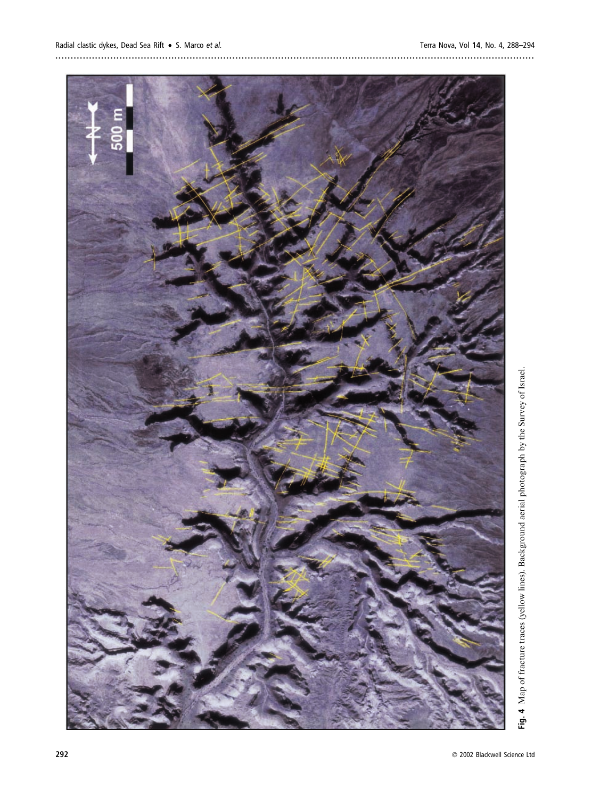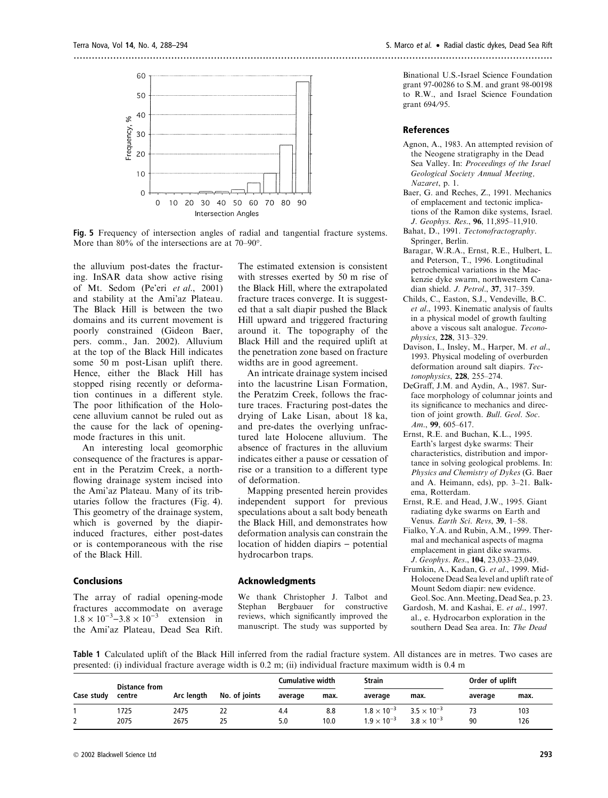

Fig. 5 Frequency of intersection angles of radial and tangential fracture systems. More than 80% of the intersections are at 70–90°.

the alluvium post-dates the fracturing. InSAR data show active rising of Mt. Sedom (Pe'eri et al., 2001) and stability at the Ami'az Plateau. The Black Hill is between the two domains and its current movement is poorly constrained (Gideon Baer, pers. comm., Jan. 2002). Alluvium at the top of the Black Hill indicates some 50 m post-Lisan uplift there. Hence, either the Black Hill has stopped rising recently or deformation continues in a different style. The poor lithification of the Holocene alluvium cannot be ruled out as the cause for the lack of openingmode fractures in this unit.

An interesting local geomorphic consequence of the fractures is apparent in the Peratzim Creek, a northflowing drainage system incised into the Ami'az Plateau. Many of its tributaries follow the fractures (Fig. 4). This geometry of the drainage system, which is governed by the diapirinduced fractures, either post-dates or is contemporaneous with the rise of the Black Hill.

# Conclusions

The array of radial opening-mode fractures accommodate on average  $1.8 \times 10^{-3} - 3.8 \times 10^{-3}$  extension in the Ami'az Plateau, Dead Sea Rift.

The estimated extension is consistent with stresses exerted by 50 m rise of the Black Hill, where the extrapolated fracture traces converge. It is suggested that a salt diapir pushed the Black Hill upward and triggered fracturing around it. The topography of the Black Hill and the required uplift at the penetration zone based on fracture widths are in good agreement.

An intricate drainage system incised into the lacustrine Lisan Formation, the Peratzim Creek, follows the fracture traces. Fracturing post-dates the drying of Lake Lisan, about 18 ka, and pre-dates the overlying unfractured late Holocene alluvium. The absence of fractures in the alluvium indicates either a pause or cessation of rise or a transition to a different type of deformation.

Mapping presented herein provides independent support for previous speculations about a salt body beneath the Black Hill, and demonstrates how deformation analysis can constrain the location of hidden diapirs - potential hydrocarbon traps.

#### Acknowledgments

We thank Christopher J. Talbot and Stephan Bergbauer for constructive reviews, which significantly improved the manuscript. The study was supported by

.............................................................................................................................................................

Binational U.S.-Israel Science Foundation grant 97-00286 to S.M. and grant 98-00198 to R.W., and Israel Science Foundation grant 694/95.

#### **References**

- Agnon, A., 1983. An attempted revision of the Neogene stratigraphy in the Dead Sea Valley. In: Proceedings of the Israel Geological Society Annual Meeting, Nazaret, p. 1.
- Baer, G. and Reches, Z., 1991. Mechanics of emplacement and tectonic implications of the Ramon dike systems, Israel. J. Geophys. Res., 96, 11,895-11,910.
- Bahat, D., 1991. Tectonofractography. Springer, Berlin.
- Baragar, W.R.A., Ernst, R.E., Hulbert, L. and Peterson, T., 1996. Longtitudinal petrochemical variations in the Mackenzie dyke swarm, northwestern Canadian shield. J. Petrol., 37, 317-359.
- Childs, C., Easton, S.J., Vendeville, B.C. et al., 1993. Kinematic analysis of faults in a physical model of growth faulting above a viscous salt analogue. Teconophysics, 228, 313–329.
- Davison, I., Insley, M., Harper, M. et al., 1993. Physical modeling of overburden deformation around salt diapirs. Tectonophysics, 228, 255–274.
- DeGraff, J.M. and Aydin, A., 1987. Surface morphology of columnar joints and its significance to mechanics and direction of joint growth. Bull. Geol. Soc. Am., 99, 605–617.
- Ernst, R.E. and Buchan, K.L., 1995. Earth's largest dyke swarms: Their characteristics, distribution and importance in solving geological problems. In: Physics and Chemistry of Dykes (G. Baer and A. Heimann, eds), pp. 3–21. Balkema, Rotterdam.
- Ernst, R.E. and Head, J.W., 1995. Giant radiating dyke swarms on Earth and Venus. Earth Sci. Revs, 39, 1-58.
- Fialko, Y.A. and Rubin, A.M., 1999. Thermal and mechanical aspects of magma emplacement in giant dike swarms. J.Geophys.Res., 104, 23,033–23,049.
- Frumkin, A., Kadan, G. et al., 1999. Mid-Holocene Dead Sea level and uplift rate of Mount Sedom diapir: new evidence. Geol. Soc. Ann. Meeting, Dead Sea, p. 23.
- Gardosh, M. and Kashai, E. et al., 1997. al., e. Hydrocarbon exploration in the southern Dead Sea area. In: The Dead

Table 1 Calculated uplift of the Black Hill inferred from the radial fracture system. All distances are in metres. Two cases are presented: (i) individual fracture average width is 0.2 m; (ii) individual fracture maximum width is 0.4 m

|            | <b>Distance from</b><br>centre |            |               | Cumulative width |      | Strain               |                      | Order of uplift |      |
|------------|--------------------------------|------------|---------------|------------------|------|----------------------|----------------------|-----------------|------|
| Case study |                                | Arc length | No. of joints | average          | max. | average              | max.                 | average         | max. |
|            | 725                            | 2475       | 22            | 4.4              | 8.8  | $1.8 \times 10^{-3}$ | $3.5 \times 10^{-3}$ | 73              | 103  |
|            | 2075                           | 2675       | 25            | 5.0              | 10.0 | $1.9 \times 10^{-3}$ | $3.8 \times 10^{-3}$ | 90              | 126  |